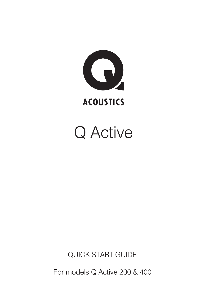

# Q Active

QUICK START GUIDE

For models Q Active 200 & 400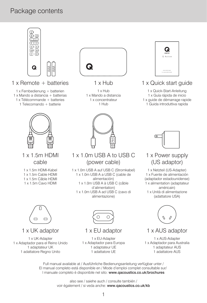### Package contents



### 1 x Remote + batteries

1 x Fernbedienung + batterien

1 x Mando a distancia + batterias

- 1 x Télécommande + batteries 1 Telecomando + batterie
	-
	- 1 x 1.5m HDMI cable
	- 1 x 1.5m HDMI-Kabel 1 x 1.5m Cable HDMI 1 x 1.5m Câble HDMI 1 x 1.5m Cavo HDMI



- 1 x Hub
- 1 x Hub 1 x Mando a distancia 1 x concentrateur 1 Hub



### 1 x 1.0m USB A to USB C (power cable)

1 x 1.0m USB A auf USB C (Stromkabel) 1 x 1.0m USB A a USB C (cable de alimentación) 1 x 1.0m USB A à USB C (câble d'alimentation) 1 x 1.0m USB A ad USB C (cavo di alimentazione)



### 1 x Quick start guide

1 x Quick-Start-Anleitung 1 x Guía rápida de inicio 1 x guide de démarrage rapide 1 Guida introduttiva rapida



### 1 x Power supply (US adaptor)

1 x Netzteil (US-Adapter) 1 x Fuente de alimentación (adaptador estadounidense) 1 x alimentation (adaptateur américain) 1 x Unità di alimentazione (adattatore USA)



1 x UK adaptor

1 x UK-Adapter 1 x Adaptador para el Reino Unido 1 adaptateur UK 1 adattatore Regno Unito



1 x EU adaptor

1 x EU-Adapter 1 x Adaptador para Europa 1 adaptateur UE 1 adattatore UE



### 1 x AUS adaptor

1 x AUS-Adapter 1 x Adaptador para Australia 1 adaptateur AUS 1 adattatore AUS

Full manual available at / Ausführliche Bedienungsanleitung verfügbar unter / El manual completo está disponible en / Mode d'emploi complet consultable sur/ l manuale completo è disponibile nel sito: www.qacoustics.co.uk/brochures

> also see / saiehe auch / consulte también / voir également / si veda anche: www.qacoustics.co.uk/kb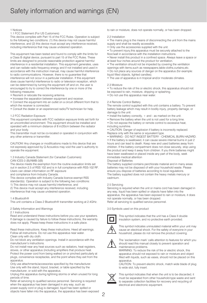#### 1 Notices

1.1 FCC Statement (For US Customers)

This device complies with Part 15 of the FCC Rules. Operation is subject to the following two conditions: (1) this device may not cause harmful interference, and (2) this device must accept any interference received, including interference that may cause undesired operation.

This equipment has been tested and found to comply with the limits for a Class B digital device, pursuant to part 15 of the FCC Rules. These limits are designed to provide reasonable protection against harmful interference in a residential installation. This equipment generates, uses and can radiate radio frequency energy and if not installed and used in accordance with the instruction manual, may cause harmful interference to radio communications. However, there is no guarantee that interference will not occur in a particular installation. If this equipment does cause harmful interference to radio or television reception, which can be determined by turning the equipment off and on, the user is encouraged to try to correct the interference by one or more of the following measures:

- Reorient or relocate the receiving antenna.
- Increase the separation between equipment and receiver.
- Connect the equipment into an outlet on a circuit different from that to which the receiver is connected.
- Consult the dealer or an experienced radio/TV technician for help.

#### 1.2 FCC Radiation Exposure

This equipment complies with FCC radiation exposure limits set forth for an uncontrolled environment. This equipment should be installed and operated with a minimum distance of 8 in/20cm between the radiator and your body.

This transmitter must not be co-located or operated in conjunction with any other antenna or transmitter.

CAUTION! Any changes or modifications made to this device that are not expressly approved by Q Acoustics may void the user's authority to operate the equipment.

1.3 Industry Canada Statement (for Canadian Customers) CAN ICES-3 (B)/NMB-3(B)

The device meets the exemption from the routine evaluation limits set out in section 2.5 of RSS 102 and is in full compliance with RSS-102 RF. Users can obtain information on RF exposure

and compliance from Industry Canada.

This device complies with Industry Canada licence-exempt RSS standard(s). Operation is subject to the following two conditions:

- 1) This device may not cause harmful interference, and
- 2) This device must accept any interference received, including

interference that may cause undesired operation.

#### 1.4 Bluetooth®

This unit contains a Class 2 Bluetooth® transmitter working at 2.4GHz.

#### 2 Safety Information and Warnings

#### 2.1 Instructions

Read and understand these instructions before you use your speakers. If damage is caused by failure to follow these instructions, the warranty does not apply. Please keep these instructions in a safe place.

Read these instructions. Keep these instructions. Heed all warnings. Follow all instructions. Do not use this apparatus near water. Clean only with dry cloth.

Do not block any ventilation openings. Install in accordance with the manufacturer's instructions.

Do not install near any heat sources such as radiators, heat registers, stoves, or other apparatus (including amplifiers that produce heat. Protect the power cord from being walked on or pinched particularly at plugs, convenience receptacles, and the point where they exit from the apparatus.

Only use attachments/accessories specified by the manufacturer. Use only with the stand, tripod, bracket, or table specified by the manufacturer, or sold with the apparatus.

Unplug this apparatus during lightning storms or when unused for long periods of time.

Refer all servicing to qualified service personnel. Servicing is required when the apparatus has been damaged in any way, such as

power-supply cord or plug is damaged, liquid has been spilled or objects have fallen into the apparatus, the apparatus has been exposed to rain or moisture, does not operate normally, or has been dropped.

#### 2.2 Installation

- The mains plug is the means of disconnecting the unit from the mains supply and shall be readily accessible.
- Only use the accessories supplied with the unit.
- To prevent injury,this apparatus must be securely attached to the
- floor/wall in accordance with the installation instructions.
- Never install this product in a confined space. Always leave a space or at least four inches around the product for ventilation.
- The ventilation should not be impeded by covering the ventilation
- openings with items,such as newspapers,table-cloths,curtains,etc.

• Do not place any sources of danger on the apparatus (for example:

- liquid filled objects, lighted candles).
- The use of apparatus is in tropical and/or moderate climates.

### 2.3 Moisture

• To reduce the risk of fire or electric shock, this apparatus should not be exposed to rain, moisture, dripping or splashing.

• Do not use this apparatus near water.

### 2.4 Remote Control Battery

The remote control supplied with this unit contains a battery. To prevent battery leakage which may result in bodily injury, property damage, or damage to the unit:

- Install the battery correctly, + and as marked on the unit.
- Remove the battery when the unit is not used for a long time.

• Do not expose the battery or remote control to excessive heat, including sunshine.

• CAUTION: Danger of explosion if battery is incorrectly replaced. Replace only with the same or equivalent type.

• WARNING - DO NOT INGEST BATTERY - CHEMICAL BURN HAZARD.

• If the battery is swallowed, it can cause severe internal burns in just 2 hours and can lead to death. Keep new and used batteries away from children. If the battery compartment does not close securely, stop using the product and keep it away from children. If you think batteries might have been swallowed or placed inside any part of the body, seek immediate medical attention

Disposal of Batteries

The battery supplied contains perchlorate material and in many areas batteries may not be disposed of with your household waste. Please ensure you dispose of batteries according to local regulations. The battery supplied does not contain the heavy metals mercury or cadmium.

### 2.5 Servicing

Servicing is required when the unit or mains cord has been damaged in any way, liquid has been spilled or objects have fallen into the apparatus, the apparatus has been exposed to rain or moisture, it does not operate normally, or has been dropped. Refer all servicing to qualified service personnel.

3.0 Symbols used on this product



This symbol indicates that the unit has a Class II double insulation system, and no protective earth provided.



This symbol indicates uninsulated material within your unit may cause an electrical shock. For the safety of everyone in your household, please do not remove the product covering.



The 'exclamation mark' calls attention to features for which you should read this manual closely to prevent operation and maintenance problems.

WARNING: To reduce the risk of fire or electric shock, this apparatus should not exposed to rain or moisture and object filled with liquids, such as vases, should not be placed on this apparatus

CAUTION: To prevent electric shock, match wide blade of plug to wide slot, fully insert.



This symbol indicates that when the unit is to be discarded, it must be separated from other household-type waste and sent to separate collection facilities for recovery and recycling of electrical and electronic equipment.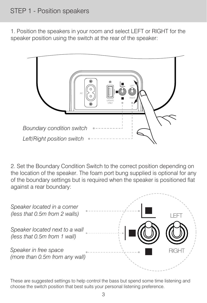### STEP 1 - Position speakers

1. Position the speakers in your room and select LEFT or RIGHT for the speaker position using the switch at the rear of the speaker:



2. Set the Boundary Condition Switch to the correct position depending on the location of the speaker. The foam port bung supplied is optional for any of the boundary settings but is required when the speaker is positioned flat against a rear boundary:



These are suggested settings to help control the bass but spend some time listening and choose the switch position that best suits your personal listening preference.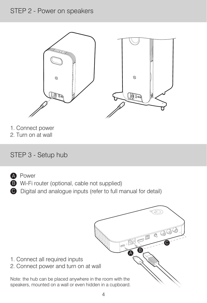### STEP 2 - Power on speakers



- 1. Connect power
- 2. Turn on at wall

### STEP 3 - Setup hub



- A Power A
- **B** Wi-Fi router (optional, cable not supplied)
- C Digital and analogue inputs (refer to full manual for detail) C

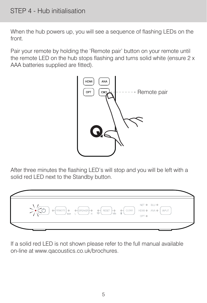### STEP 4 - Hub initialisation

When the hub powers up, you will see a sequence of flashing LEDs on the front.

Pair your remote by holding the 'Remote pair' button on your remote until the remote LED on the hub stops flashing and turns solid white (ensure 2 x AAA batteries supplied are fitted).



After three minutes the flashing LED's will stop and you will be left with a solid red LED next to the Standby button.



If a solid red LED is not shown please refer to the full manual available on-line at www.qacoustics.co.uk/brochures.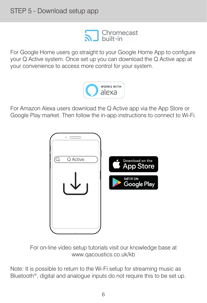

For Google Home users go straight to your Google Home App to configure your Q Active system. Once set up you can download the Q Active app at your convenience to access more control for your system.



For Amazon Alexa users download the Q Active app via the App Store or Google Play market. Then follow the in-app instructions to connect to Wi-Fi.



For on-line video setup tutorials visit our knowledge base at www.qacoustics.co.uk/kb

Note: It is possible to return to the Wi-Fi setup for streaming music as Bluetooth<sup>®</sup>, digital and analogue inputs do not require this to be set up.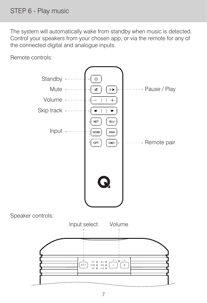The system will automatically wake from standby when music is detected. Control your speakers from your chosen app, or via the remote for any of the connected digital and analogue inputs.

Remote controls:

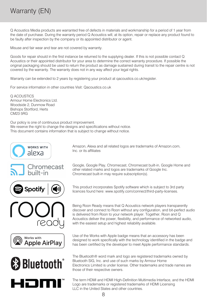### Warranty (EN)

Q Acoustics Media products are warranted free of defects in materials and workmanship for a period of 1 year from the date of purchase. During the warranty period Q Acoustics will, at its option, repair or replace any product found to be faulty after inspection by the company or its appointed distributor or agent.

Misuse and fair wear and tear are not covered by warranty.

Goods for repair should in the first instance be returned to the supplying dealer. If this is not possible contact Q Acoustics or their appointed distributor for your area to determine the correct warranty procedure. If possible the original packaging should be used to return the product as damage sustained during transit to the repair centre is not covered by the warranty. The warranty does not in any way affect your legal rights.

Warranty can be extended to 2 years by registering your product at gacoustics.co.uk/register.

For service information in other countries Visit: Qacoustics.co.uk

Q ACOUSTICS Armour Home Electronics Ltd. Woodside 2, Dunmow Road Bishops Stortford, Herts CM23 5RG

Our policy is one of continuous product improvement. We reserve the right to change the designs and specifications without notice. This document contains information that is subject to change without notice.







Spotify









Google, Google Play, Chromecast, Chromecast built-in, Google Home and other related marks and logos are trademarks of Google Inc. Chromecast built-in may require subscription(s).

This product incorporates Spotify software which is subject to 3rd party licences found here: www.spotify.com/connect/third-party-licenses.

Being Roon Ready means that Q Acoustics network players transparently discover and connect to Roon without any configuration, and bit-perfect audio is delivered from Roon to your network player. Together, Roon and Q Acoustics deliver the power, flexibility, and performance of networked audio, with the easiest setup and highest reliability available.

Use of the Works with Apple badge means that an accessory has been designed to work specifically with the technology identified in the badge and has been certified by the developer to meet Apple performance standards.

The Bluetooth® word mark and logo are registered trademarks owned by Bluetooth SIG, Inc. and use of such marks by Armour Home Electronics Limited is under license. Other trademarks and trade names are those of their respective owners.

The term HDMI and HDMI High-Definition Multimedia Interface, and the HDMI Logo are trademarks or registered trademarks of HDMI Licensing LLC in the United States and other countries.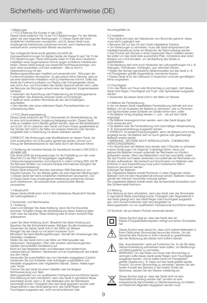#### 1 Mitteilungen

1.1 FCC-Erklärung (für Kunden in den USA)<br>Dieses Gerät entspricht Teil 15 der FCC-Bestimmungen. Für den Betrieb<br>gelten die zwei folgenden Bedingungen: (1) Dieses Gerät darf keine schädlichen Interferenzen verursachen, und (2) dieses Gerät muss empfangende Interferenzen aufnehmen können, auch Interferenzen, die eventuell einen unerwünschten Betrieb verursachen.

Das vorliegende Gerät wurde getestet und erfüllt die Grenzwertbestimmungen für digitale Geräte der Klasse B nach Teil 15 der FCC-Bestimmungen. Diese Grenzwerte sollen im Falle einer häuslichen<br>Installation einen angemessenen Schutz gegen schädliche Interferenzen<br>bieten. Dieses Gerät erzeugt und verwendet Hochfrequenzenergie, und<br>kann diese ausst Übereinstimmung mit den

Bedienungsanweisungen installiert und verwendet wird - Störungen der Funkkommunikation verursachen. Es gibt jedoch keine Garantie, dass es bei einer bestimmten Installation nicht zu Interferenzen kommt. Sollte das Gerät die Funkkommunikation von Radios oder Fernsehgeräten stören, was durch Aus- und Einschalten des Geräts überprüft werden kann, sollte der Benutzer die Störungen anhand einer der folgenden Vorgehensweisen

- beheben: Verändern der Ausrichtung oder Positionierung der Empfangsantenne.
- Vergrößern des Abstands zwischen Gerät und Empfänger.

• Gerät an einen anderen Stromkreis als den des Empfängers anschließen.

• Den Händler oder einen erfahrenen Radio-/Fernsehtechniker um Unterstützung bitten.

1.2 FCC-Strahlungsbelastung Dieses Gerät entspricht den FCC-Grenzwerten für Strahlenbelastung, die für eine nicht kontrollierte Umgebung festgelegt wurden. Dieses Gerät<br>sollte so installiert und in Betrieb gesetzt werden, dass ein Mindestabstand<br>von 8 Zoll / 20 cm zwischen dem Gerät und Ihrem Körper gewährleistet ist. Der Sender darf nicht in der Nähe von anderen Antennen oder Sendern aufgestellt oder in Verbindung mit diesen betrieben werden.

VORSICHT! Alle Änderungen oder Modifikationen an diesem Gerät, die nicht ausdrücklich von Q Acoustics genehmigt werden, können zum Entzug der Betriebserlaubnis für das Gerät durch den Benutzer führen.

1.3 Erklärung der Industrie Kanada (für kanadische Kunden) CAN ICES-3 (B)/NMB-3(B)

Das Gerät erfüllt die Voraussetzungen für die Freistellung von den unter

Abschnitt 2.5 der RSS 102 festgelegten regelmäßigen Untersuchungsgrenzwerten und entspricht in vollem Umfang RSS-102 RF. Die Benutzer erhalten von Industrie Kanada Informationen bezüglich der Hochfrequenzbelastung.

Dieses Gerät entspricht dem/den lizenzfreien RSS-Standard(-s) von<br>Industrie Kanada. Für den Betrieb gelten die zwei folgenden Bedingungen:<br>1) Dieses Gerät darf keine schädlichen Interferenzen verursachen, und 2) Dieses Gerät muss empfangende Interferenzen aufnehmen können, auch Interferenzen, die eventuell einen unerwünschten Betrieb verursachen.

#### 1.4 Bluetooth®

Dieses Gerät enthält einen mit 2,4 GHz betriebenen Bluetooth®-Sender der Leistungsklasse 2.

#### 2 Sicherheits- und Warnhinweise

2.1 Anleitung

Lesen und befolgen Sie diese Anleitung, bevor Sie Ihre Soundbar benutzen. Schäden infolge der Nichtbeachtung dieser Anleitung fallen nicht unter die Garantie. Diese Anleitung bitte an einem sicheren Platz aufbewahren.

Lesen Sie diese Anleitung durch. Bewahren Sie diese Anleitung auf. Beachten Sie alle Sicherheitshinweise. Befolgen Sie alle Anweisungen. Verwenden Sie dieses Gerät nicht in der Nähe von Wasser. Reinigen Sie das Gerät nur mit einem trockenen Tuch.

Blockieren Sie keine Belüftungsöffnungen. Gemäß den Anweisungen des Herstellers installieren.

Stellen Sie das Gerät nicht in der Nähe von Wärmequellen wie Heizkörpern, Heizregistern, Öfen oder anderen wärmeerzeugenden

Geräten (einschließlich Verstärkern) auf. Nicht auf das Netzkabel treten und Netzkabel nicht einklemmen, insbesondere an Steckern, Steckdosen und am Austrittspunkt des Kabels aus dem Gerät.

Verwenden Sie ausschließlich das vom Hersteller angegebene Zubehör.<br>Verwenden Sie zum Aufstellen oder Aufhängen ausschließlich vom<br>Hersteller angegebene oder mitgelieferte Ständer, Stative, Halterungen oder Tische.

Trennen Sie das Gerät bei einem Gewitter oder bei längerer Nichtverwendung vom Netz.

wartungsarbeiten nur von qualifiziertem Fachpersonal durchführen lassen. Eine Wartung ist dann erforderlich, wenn das Gerät in irgendeiner Weise beschädigt wurde, wenn z. B. das Netzkabel oder der Netzstecker beschädigt wurden, Flüssigkeit über das Gerät gegossen wurden oder Gegenstände in das Gerät gelangt sind, das Gerät Regen oder Feuchtigkeit ausgesetzt war, nicht normal funktioniert oder

### heruntergefallen ist.

#### 2.2 Installation

- Das Gerät wird über den Netzstecker vom Stromnetz getrennt; dieser muss leicht zugänglich sein.
- Benutzen Sie nur das mit dem Gerät mitgelieferte Zubehör.
- Um Verletzungen zu vermeiden, muss das Gerät entsprechend der
- Installationsanleitung sicher am Boden/an der Wand befestigt werden.

• Das Produkt darf niemals in einem begrenzten Raum installiert werden. Sie sollten um das Gerät stets ausreichend Platz, mindestens aber einen Abstand von 4 Zoll einhalten, um die Belüftung des Geräts zu gewährleisten.

• Die Belüftung darf nicht durch Abdecken der Lüftungsöffnungen mit z. B. Zeitungen, Tischdecken, Vorhängen, usw. behindert werden.

• Stellen Sie niemals irgendwelche Gefahrenquellen auf das Gerät (z. B. mit Flüssigkeiten gefüllte Gegenstände, brennende Kerzen). • Dieses Gerät ist für den Gebrauch in tropischem und/oder gemäßigtem Klima vorgesehen.

2.3 Feuchtigkeit • Um das Risiko von Feuer oder Stromschlag zu verringern, darf dieses Gerät nicht Regen, Feuchtigkeit und Tropf- oder Spritzwasser ausgesetzt werden.

• Verwenden Sie dieses Gerät nicht in der Nähe von Wasser.

2.4 Batterie der Fernbedienung In der mit diesem Gerät mitgelieferten Fernbedienung befindet sich eine Batterie. Um ein Auslaufen der Batterie zu verhindern, was zu Personenund Sachschäden sowie Schäden am Geräte führen kann, sollte:

• Die Batterie richtig eingelegt werden (+ und -, wie auf dem Gerät angezeigt). • Die Batterie herausgenommen werden, wenn das Gerät längere Zeit

nicht verwendet wird.

• Die Batterie oder die Fernbedienung nicht übermäßiger Hitzeeinwirkung

(z. B. Sonneneinstrahlung) ausgesetzt werden. • VORSICHT: Es besteht Explosionsgefahr, wenn die Batterie nicht richtig eingelegt wurde. Die Batterie darf nur durch gleiche oder gleichwertige Bingelogt marten zum Dereiten.

• WARNUNG - BATTERIE NICHT VERSCHLUCKEN - CHEMISCHES VERÄTZUNGSSRISIKO.

• Ein Verschlucken der Batterie kann bereits nach 2 Stunden zu schweren inneren Verätzungen mit möglicher Todesfolge führen. Neue und gebrauchte Batterien müssen außerhalb der Reichweite von Kindern aufbewahrt werden. Wenn das Batteriefach nicht fest verschließt, sollten Sie das Produkt nicht weiter verwenden und außerhalb der Reichweite von Kindern aufbewahren. Bei Verdacht auf Verschlucken von Batterien oder Einführen in eine Körperöffnung muss sofort medizinische Hilfe in

#### Anspruch genommen werden. Entsorgen der Batterien

Die mitgelieferte Batterie enthält Perchlorat; in vielen Gegenden dürfen Batterien nicht mit dem Haushaltsmüll entsorgt werden. Batterien müssen

gemäß den örtlichen Vorschriften entsorgt werden. Die mitgelieferte Batterie enthält weder das Schwermetall Quicksilber noch das Schwermetall Kadmium.

### 2.5 Wartung

Eine Wartung ist dann erforderlich, wenn das Gerät oder das Stromkabel in irgendeiner Weise beschädigt wurde, Flüssigkeit oder Gegenstände in das Gerät gelangt sind, das Gerät Regen oder Feuchtigkeit ausgesetzt war, nicht normal funktioniert oder heruntergefallen ist. Wartungsarbeiten nur von qualifiziertem Fachpersonal durchführen lassen.

3.0 Symbole, die auf diesem Produkt verwendet werden



Dieses Symbol zeigt an, dass das Gerät über ein

Klasse-II-Doppelisolationssystem verfügt und keinen Schutzleiter hat.



Dieses Symbol weist darauf hin, dass nicht isolierte Materialien in Ihrem Gerät einen Stromschlag hervorrufen können. Um die Sicherheit aller Personen in Ihrem Haushalt zu gewährleisten, darf die Abdeckung des Geräts nicht entfernt werden.



Das "Ausrufezeichen" weist auf Funktionen hin, für die Sie diese Gebrauchsanleitung aufmerksam lesen sollten, um Bedienungs-

und Wartungsfehler zu vermeiden. WARNUNG: Um das Risiko von Feuer oder Stromschlag zu verringern sollte dieses Gerät weder Regen noch Feuchtigkeit ausgesetzt werden, und es sollten keine mit Flüssigkeiten gefüllte Objekte wie z. B. Vasen auf das Gerät gestellt werden. Vorsicht: Um einen Stromschlag zu vermeiden, stecken Sie den breiten Kontakt des Steckers in den breiten Schlitz der Steckdose, stecken Sie den Stecker vollständig ein.



Dieses Symbol zeigt an, dass das Gerät nicht mit dem Haushaltsmüll entsorgt werden darf, sondern an eine entsprechende Sammelstelle zur Wiederverwertung von Elektround Elektronik-Altgeräten abgegeben werden muss.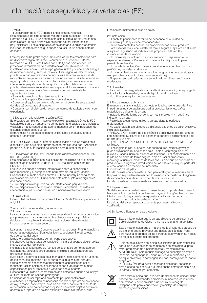#### 1 Avisos

1.1 Declaración de la FCC (para clientes estadounidenses) Este dispositivo ha sido probado y cumple con la Sección 15 de las Normas de la FCC. El funcionamiento está sujeto a las siguientes dos condiciones: (1) este dispositivo no puede causar interferencias perjudiciales y (2) este dispositivo debe aceptar cualquier interferencia, incluidas las interferencias que puedan causar un funcionamiento no deseado.

Este equipo se ha probado y cumple con los límites establecidos para<br>un dispositivo digital de Clase B conforme a la Sección 15 de las<br>Normas de la FCC. Estos límites han sido fijados para ofrecer una protección razonable frente a interferencias perjudiciales en una instalación residencial. Este equipo genera, utiliza y puede emitir energía de radiofrecuencia y, si no se instala y utiliza según las instrucciones, puede provocar interferencias perjudiciales a las comunicaciones de radio. Sin embargo, no se garantiza que no se producirá interferencia en algún tipo de instalación en particular. Si el equipo provoca alguna interferencia perjudicial en la recepción de radio o televisión, lo que puede determinarse encendiéndolo y apagándolo, se anima al usuario a que intente corregir la interferencia mediante una o más de las

siguientes acciones: • Reorientar o reubicar la antena receptora.

• Aumentar la separación entre el equipo y el receptor.

• Conectar el equipo en un enchufe o en un circuito diferente a aquel donde esté conectado el receptor.

• Contactar con el distribuidor o con un técnico de radio/televisión con experiencia.

1.2 Exposición a la radiación según la FCC

Este equipo cumple los límites de exposición a la radiación de la FCC establecidos para un entorno no controlado. Este equipo debe instalarse y utilizarse manteniendo el radiador al menos a 20 cm (8 pulgadas) de distancia o más de su cuerpo.

El transmisor no se debe colocar o utilizar junto con cualquier otra antena o transmisor.

¡PRECAUCIÓN! Cualquier cambio o modificación que se realice en el dispositivo y no haya sido aprobada de forma expresa por Q Acoustics podría anular la autorización del usuario para utilizar el equipo.

1.3 Declaración de Industry Canada (para clientes canadienses) CAN ICES-3 (B)/NMB-3(B)

Este dispositivo cumple con la exención de los límites de evaluación rutinarios de la Sección 2.5 de la RSS 102 y cumple con la norma RSS-102 RF.

Los usuarios pueden obtener información sobre la exposición a radiofrecuencia y el cumplimiento normativo de Industry Canada. El dispositivo cumple con las normas RSS de Industry Canada sobre exenciones de licencia. El funcionamiento está sujeto a las siguientes dos condiciones:

1) Este dispositivo no puede causar interferencias perjudiciales. 2) Este dispositivo debe aceptar cualquier interferencia, incluidas las

interferencias que puedan causar un funcionamiento no deseado.

#### 1.4 Bluetooth®

Esta unidad contiene un transmisor Bluetooth® de Clase 2 que funciona a 2,4 GHz.

#### 2 Información de seguridad y advertencias

2.1 Instrucciones

Lea y comprenda estas instrucciones antes de utilizar la barra de sonido por primera vez. La garantía no cubre daños causados por fallos debidos al incumplimiento de estas instrucciones. Guarde estas instrucciones en un lugar seguro.

Lea estas instrucciones. Conserve estas instrucciones. Preste atención a todas las advertencias. Siga todas las instrucciones. No utilice este equipo cerca del agua.

Limpie el equipo solamente con un paño seco suave.

No obstruya las aberturas de ventilación. Instale el aparato siguiendo las instrucciones del fabricante. No instale la unidad cerca de fuentes de calor tales como radiadores,

calefactores, estufas u otros aparatos (incluidos amplificadores que produzcan calor). Evite pisar u oprimir el cable de alimentación, especialmente en la zona

de los enchufes, regletas o en el punto en el que sale del aparato. Utilice solamente accesorios/complementos especificados por el fabricante. Utilice solamente el soporte, trípode, abrazadera o mesa especificados por el fabricante o vendidos con el aparato. Desenchufe la unidad durante tormentas eléctricas o cuando no la vaya

a utilizar durante un período prolongado.

La unidad debe ser reparada solamente por personal técnico cualificado. La reparación es necesaria cuando el aparato se ha dañado de algún modo, por ejemplo, si se ha dañado el cable o el enchufe de alimentación, si se ha derramado líquido o han caído objetos dentro del aparato, si el aparato ha estado expuesto a lluvia o humedad, si no

funciona normalmente o si se ha caído.

#### 2.2 Instalación

- El enchufe principal es la forma de desconectar la unidad del
- suministro, por lo que debe estar accesible.
- Utilice solamente los accesorios proporcionados con el producto.
- Para evitar daños, debe instalar de forma segura el aparato en el suelo o la pared, siguiendo las indicaciones proporcionadas en las
- instrucciones de instalación.

• No instale el producto en un espacio reducido. Deje siempre un espacio de al menos 10 centímetros alrededor del producto para permitir la ventilación.

• No impida la ventilación cubriendo las aberturas con objetos como periódicos, manteles, cortinas, etc.

• No ponga objetos que puedan resultar peligrosos en el aparato (por ejemplo: objetos con líquidos, velas encendidas).

• El aparato se ha diseñado para ser utilizado en climas tropicales y moderados.

#### 2.3 Humedad

• Para reducir el riesgo de descarga eléctrica e incendio, no exponga la

- unidad a lluvia, humedad, gotas de líquido o salpicaduras.
- No utilice este equipo cerca del agua.

### 2.4 Pila del mando a distancia

El mando a distancia incluido con esta unidad contiene una pila. Para impedir una fuga de la pila que podría provocar lesiones, daños materiales o daños en la unidad:

• Instale la pila de forma correcta, con los símbolos + y - según se indica en la unidad.

• Retire la pila cuando no utilice la unidad durante períodos prolongados.

• No exponga la pila o el mando a distancia a fuentes de calor excesivo,

incluida la luz solar. • PRECAUCIÓN: peligro de explosión si se sustituye la pila por una del tipo incorrecto. Sustituya la pila solamente por otra del mismo tipo o de un tipo equivalente.

• ADVERTENCIA - NO INGERIR LA PILA - RIESGO DE QUEMADURA QUÍMICA.

• Si se ingiere la pila, puede causar quemaduras internas graves y puede provocar la muerte en tan solo 2 horas. Mantenga las pilas nuevas y usadas fuera del alcance de los niños. Si el compartimento de la pila no se cierra de forma segura, deje de usar el producto y manténgalo fuera del alcance de los niños. Si cree que se puede haber producido una ingesta o introducción de las pilas en cualquier parte del cuerpo, acuda a un médico de inmediato.

#### Eliminación de las pilas

La pila incluida contiene material con perclorato y en numerosas áreas las pilas no se pueden eliminar con los residuos domésticos. Asegúrese de eliminar las pilas de acuerdo con la normativa local. La pila incluida no contiene metales pesados, mercurio ni cadmio.

#### 2.5 Reparaciones

Se debe reparar la unidad cuando presente algún tipo de daño, cuando haya entrado en contacto con líquido o haya caído algún objeto en su interior, cuando haya quedado expuesta a la lluvia o humedad, no funcione con normalidad o se haya caído.

La unidad debe ser reparada solamente por personal técnico cualificado.

3.0 Símbolos utilizados en este producto



Este símbolo indica que la unidad dispone de un sistema de doble aislamiento de Clase II y no incluye una toma de tierra.



Este símbolo indica que el material de la unidad que carece de aislamiento podría provocar una descarga eléctrica. Para garantizar la seguridad de las personas que viven en su hogar, no retire la cubierta del producto.



El signo de exclamación indica la existencia de características sobre las que debe leer detenidamente en este manual para evitar problemas de funcionamiento y mantenimiento. ADVERTENCIA: para reducir el riesgo de descarga eléctrica e

incendio, no exponga la unidad a lluvia o la humedad y no coloque objetos que contengan líquidos, como jarrones, sobre el aparato.

PRECAUCIÓN: para evitar descargas eléctricas, conecte la clavija ancha del enchufe a la toma ancha correspondiente de la pared y enchufe por completo.



Este símbolo indica que, a la hora de desechar la unidad, debe hacerlo en un contenedor apropiado, nunca con los residuos domésticos, y debe enviarla a un centro de recogida independiente para recuperación y reciclaje de equipos eléctricos y electrónicos.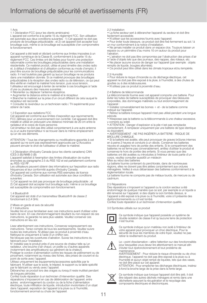#### 1 Avis

1.1 Déclaration FCC (pour les clients américains)

L'appareil est conforme à la partie 15 du règlement FCC. Son utilisation est autorisée aux deux conditions suivantes : 1) Cet appareil ne doit pas produire de brouillage préjudiciable ; et 2) cet appareil doit accepter tout brouillage subi, même si ce brouillage est susceptible d'en compromettre le fonctionnement.

Cet appareil a été testé et déclaré conforme aux limites imposées à un appareil numérique de la Classe B, conformément à la partie 15 du règlement FCC. Ces limites ont été fixées pour fournir une protection raisonnable contre les brouillages préjudiciables dans une installation résidentielle. Ce matériel produit, utilise et peut émettre des ondes radio et, à défaut d'installation et d'utilisation conformes au mode d'emploi, il peut être source de brouillage préjudiciable pour les communications radio. Il n'est toutefois pas garanti qu'aucun brouillage ne se produira dans une installation donnée. Si ce matériel provoque des brouillages préjudiciables à la réception des ondes radio ou de télévision, ce qui peut être vérifié en mettant le matériel hors tension, puis sous tension, l'utilisateur est encouragé à tenter de remédier à ces brouillages à l'aide d'une ou plusieurs des mesures suivantes :

- 
- Réorienter ou déplacer l'antenne réceptrice. Augmenter la distance entre le matériel et le récepteur.
- Brancher le matériel sur la prise d'un circuit différent de celui auquel le récepteur est raccordé.

• Consulter le revendeur ou un technicien radio / TV expérimenté pour obtenir de l'aide.

#### 1.2 Exposition aux radiations FCC

Cet appareil est conforme aux limites d'exposition aux rayonnements FCC définies pour un environnement non contrôlé. Cet appareil doit être installé et utilisé en prévoyant une distance minimale de 20 cm entre le radiateur et le corps de toute personne.

Cet émetteur ne doit pas être utilisé conjointement à une autre antenne ou à un autre transmetteur ni se trouver dans le même emplacement qu'un de ces éléments.

ATTENTION ! Tous les changements ou modifications apportés à cet appareil qui ne sont pas expressément approuvés par Q Acoustics peuvent annuler le droit de l'utilisateur d'utiliser le matériel.

1.3 Déclaration d'Industry Canada (pour les clients canadiens) CAN ICES-3 (B)/NMB-3 (B)

L'appareil satisfait à l'exemption des limites d'évaluation de routine énoncées au paragraphe 2.5 du RSS 102 et est parfaitement conforme au RSS-102 RF.

Les utilisateurs peuvent obtenir des informations sur l'exposition aux radio fréquences et leur conformité auprès d'Industry Canada.

Cet appareil est conforme aux normes RSS exemptes de licence d'Industry Canada. Son utilisation est autorisée aux deux conditions suivantes<br>1) Cet apr

1) Cet appareil ne doit pas provoquer de brouillage préjudiciable ; et 2) Cet appareil doit accepter tout brouillage subi, même si ce brouillage est susceptible de compromettre son fonctionnement.

#### 1.4 Bluetooth®

Cet appareil est doté d'un transmetteur Bluetooth® de classe 2 fonctionnant à 2,4 GHz.

2 Mises en garde et avis de sécurité

2.1 Instructions

Veuillez lire et vous familiariser avec ces instructions avant d'utiliser votre barre de son. En cas d'endommagement résultant du non-respect de ces instructions, la garantie ne sera plus valable. Veuillez conserver ces instructions en lieu sûr.

Lisez attentivement ces instructions. Conservez soigneusement ces instructions. Tenez compte de tous les avertissements. Veuillez suivre toutes les instructions. N'utilisez pas ce produit à proximité d'eau. Nettoyez-le uniquement à l'aide d'un chiffon sec.

Ne bloquez pas les ouvertures d'aération. Suivez les instructions du fabricant pour l'installation.

N' installez pas le produit près d'une source de chaleur telle qu'un radiateur, une bouche d'air chaud, un poêle ou d'autres appareils (notamment des amplificateurs) qui génèrent de la chaleur).

Protéger le cordon d'alimentation contre les risques de piétinement ou de pincement, notamment au niveau des fiches, des prises de courant et du point de sortie avec l'appareil.

Utilisez uniquement les équipements/accessoires spécifiés par le fabricant. N'utiliser que le socle, le trépied, le support ou la table spécifié par le fabricant ou vendu avec l'appareil.

Débranchez ce produit lors des orages ou lorsqu'il reste inutilisé pendant de longues périodes.

Confiez toute réparation à un technicien d'intervention qualifié. Des réparations s'imposeront en cas de détérioration de l'appareil, entre autres : endommagement du cordon ou de la fiche d'alimentation électrique, toute infiltration de liquide, introduction involontaire d'un objet dans l'appareil, exposition de l'appareil à la pluie ou à l'humidité, fonctionnement anormal ou chute de l'appareil.

#### 2.2 Installation

• La fiche secteur sert à débrancher l'appareil du secteur et doit être facilement accessible.

- 
- N'utiliser que les accessoires fournis avec l'appareil. Pour éviter toute blessure, ce produit doit être fixé fermement au sol / à

un mur conformément à la notice d'installation. • Ne jamais installer ce produit dans un espace clos. Toujours laisser un espace ou un périmètre d'au moins 10 cm autour du produit pour

l'aération.

- L'aération ne doit pas être compromise par l'obstruction des prises d'air
- à l'aide d'objets tels que des journaux, des nappes, des rideaux, etc. • Ne placer aucune source de danger sur l'appareil (par exemple : objets

remplis de liquide, bougies allumées).

• Ce produit peut être utilisé dans les climats tropicaux et/ou tempérés.

#### 2.3 Humidité

• Pour réduire le risque d'incendie ou de décharge électrique, cet appareil ne doit pas être exposé à la pluie, à l'humidité, à des chutes de

gouttes ou à des éclaboussures. • N'utilisez pas ce produit à proximité d'eau.

#### 2.4 Batterie de télécommande

La télécommande fournie avec cet appareil comporte une batterie. Pour éviter les fuites de batterie susceptibles de provoquer des blessures corporelles, des dommages matériels ou tout endommagement de l'appareil :

• Installez convenablement les bornes + et - de la batterie comme indiqué sur l'appareil.

• Retirez la batterie lorsque l'appareil n'est pas utilisé pendant une longue période.

• N'exposez pas la batterie ou la télécommande à une chaleur excessive, y compris au soleil.

• ATTENTION : Danger d'explosion si la pile n'est pas remplacée

correctement. À remplacer uniquement par une batterie de type identique ou équivalent.

• AVERTISSEMENT - NE PAS INGÉRER LA BATTERIE - RISQUE DE BRÛLURE CHIMIQUE.

• Si la batterie est avalée, elle peut provoquer de graves brûlures internes en à peine 2 heures et conduire à un décès. Conserver les batteries neuves et usagées hors de portée des enfants. Si le compartiment des batteries ne se ferme pas convenablement, arrêtez d'utiliser le produit et conservez-le hors de portée des enfants. Si vous pensez que des batteries ont été avalées ou introduites à l'intérieur de toute partie d'un corps, veuillez consulter aussitôt un médecin Mise au rebut des batteries

La batterie fournie contenant du perchlorate, dans de nombreuses régions, elles ne doivent pas être jetées conjointement aux ordures ménagères. Veillez à vous débarrasser des batteries conformément à la réglementation locale.

La batterie fournie ne comporte pas de métaux lourds, de mercure ou de cadmium.

#### 2.5 Réparations

Des réparations s'imposent si l'appareil ou le cordon secteur a été endommagé de quelque manière que ce soit, par exemple si un liquide a été renversé sur l'appareil, si des objets lui son tombés dessus, si l'appareil a été exposé à la pluie ou à l'humidité, voire s'il présente des dysfonctionnements ou s'il est tombé.

Confiez toute réparation à un technicien d'intervention qualifié.

3.0 Symboles utilisés sur ce produit



Ce symbole indique que l'appareil possède un système de double isolation de classe II et qu'aucune terre de protection n'est fournie.



Ce symbole indique qu'un matériau non isolé à l'intérieur de votre appareil peut provoquer un choc électrique. Pour la sécurité de tous les membres de votre foyer, veuillez ne pas retirer le revêtement du produit.



Le « point d'exclamation » attire l'attention sur des fonctionnalités pour lesquelles vous devez lire attentivement ce manuel afin d'éviter tout dysfonctionnement et tout problème de maintenance.

AVERTISSEMENT : Pour réduire le risque d'incendie ou de choc électrique, l'appareil ne doit pas être exposé à la pluie ou à l'humidité et aucun objet rempli de liquides, tels que des vases,

ne doit être placé sur cet appareil. ATTENTION : Pour empêcher les décharges électriques, insérez à fond la broche large de la prise dans la fente large.



Ce symbole indique que lorsque l'appareil doit être jeté, il doit être séparé des autres déchets ménagers et remis dans une déchetterie assurant la récupération et le recyclage des composants électriques et électroniques.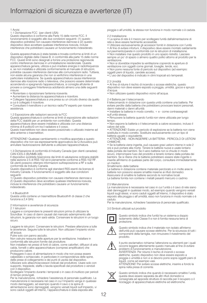#### 1 Avvisi

1.1 Dichiarazione FCC (per clienti USA)

Questo dispositivo è conforme alla Parte 15 delle norme FCC. Il funzionamento è soggetto alle due condizioni seguenti: (1) questo dispositivo potrebbe non causare interferenze dannose e (2) questo dispositivo deve accettare qualsiasi interferenza ricevuta, incluse interferenze che potrebbero causare un funzionamento indesiderato.

Questa apparecchiatura è stata testata e trovata conforme ai limiti di un dispositivo digitale della Classe B, in conformità alla parte 15 delle norme FCC. Questi limiti sono designati a fornire una protezione ragionevole contro interferenze dannose in un'installazione residenziale. Questa apparecchiatura genera, utilizza e può irradiare energia in radiofrequenza e, se non installata e utilizzata conformemente al manuale di istruzioni, potrebbe causare interferenze dannose alle comunicazioni radio. Tuttavia, non esiste alcuna garanzia che non si verifichino interferenze in una particolare installazione. Se questa apparecchiatura causa interferenze dannose alla ricezione radio o televisiva, che possono essere determinate accendendo e spegnendo l'apparecchiatura, si consiglia all'utente di provare a correggere l'interferenza adottando almeno una delle seguenti misure:

• Riorientare o riposizionare l'antenna ricevente. • Aumentare la distanza tra apparecchiatura e ricevitore.

• Collegare l'apparecchiatura a una presa su un circuito diverso da quello a cui è collegato il ricevitore.

• Consultare il rivenditore o un tecnico radio/TV esperto per ricevere assistenza.

1.2 Esposizione alle radiazioni secondo la FCC Questa apparecchiatura è conforme ai limiti di esposizione alle radiazioni della FCC stabiliti per un ambiente non controllato. Questa

apparecchiatura deve essere installata e utilizzata con una distanza

minima di 8 pollici/0 cm tra il radiatore e il corpo. Questo trasmettitore non deve essere posizionato o utilizzato insieme ad altre antenne o trasmettitori.

ATTENZIONE! Qualsiasi cambiamento o modifica apportata a questo<br>dispositivo che non sia espressamente approvato/a da Q Acoustics può<br>annullare l'autorizzazione dell'utente a utilizzare l'apparecchiatura.

1.3 Dichiarazione di conformità di Industry Canada (per clienti canadesi) CAN ICES-3 (B)/NMB-3(B)

Il dispositivo soddisfa l'esenzione dai limiti di valutazione ordinaria stabiliti nella sezione 2.5 di RSS 102 ed è pienamente conforme a RSS-102 RF. Gli utenti possono ottenere informazioni sull'esposizione a RF e sulla conformità da Industry Canada.

Questo dispositivo è conforme agli standard RSS esenti da licenza di Industry Canada. Il funzionamento è soggetto alle due condizioni seguenti:

1) Questo dispositivo potrebbe non causare interferenze dannose e 2) Questo dispositivo deve accettare qualsiasi interferenza ricevuta, incluse le interferenze che potrebbero causare un funzionamento indesiderato.

#### 1.4 Bluetooth®

Questa unità contiene un trasmettitore Bluetooth® di classe 2 che funziona a 2,4 GHz.

2 Informazioni e avvertenze di sicurezza

2.1 Istruzioni

Leggere e comprendere le presenti istruzioni prima di utilizzare la Soundbar. In caso di danni causati dal mancato adempimento alle istruzioni, la garanzia non sarà valida. Conservare le istruzioni in un luogo sicuro.

Leggere le istruzioni. Conservare le istruzioni. Prestare attenzione a tutte le avvertenze. Seguire tutte le istruzioni. Non utilizzare l'impianto vicino all'acqua.

Pulire solo con panno asciutto.

Non ostruire nessuna delle aperture per la ventilazione. Installare in

conformità alle istruzioni fornite dal produttore. Non installare nei pressi di fonti di calore, come caloriferi, diffusori di aria calda, fornelli o altre apparecchiature (compresi amplificatori) che producono calore.

Proteggere il cavo di alimentazione in modo che non possa essere calpestato o schiacciato, in particolare in corrispondenza delle spine, delle prese di collegamento e dei punti di uscita dal dispositivo.

Utilizzare solo attacchi/accessori indicati dal produttore. Usare solo con supporto, treppiede, staffa o tavola specificati dal produttore o venduti con il dispositivo.

Scollegare l'impianto durante i temporali o in caso di inutilizzo per periodi di tempo prolungati.

Per la manutenzione, richiedere l'assistenza di personale qualificato. La manutenzione è necessaria nel caso in cui l'impianto venga in qualsiasi modo danneggiato, ad esempio quando il cavo o la spina di

alimentazione sono danneggiati, vengono versati liquidi sull'impianto, vi sono caduti oggetti all'interno, l'apparecchiatura è stata esposta alla

pioggia o all'umidità, la stessa non funziona in modo normale o è caduta.

#### 2.2 Installazione

• La spina di rete è il mezzo per scollegare l'unità dall'alimentazione di rete e deve essere facilmente accessibile.

- Utilizzare esclusivamente gli accessori forniti in dotazione con l'unità.
- Al fine di evitare infortuni, il dispositivo deve essere montato saldamente
- sul pavimento/parete in conformità con le istruzioni di installazione.

• Non installare mai questo prodotto in uno spazio ristretto. Lasciare sempre un po' di spazio o almeno quattro pollici attorno al prodotto per la ventilazione.

• Non si dovrebbe impedire la ventilazione coprendo le aperture di

ventilazione con oggetti come giornali, tovaglie, tende, ecc.

• Non porre nessuna fonte di pericolo sul dispositivo (ad esempio:

- oggetti pieni di liquido, candele accese).
- L'uso del dispositivo è indicato in climi tropicali e/o temperati.

#### 2.3 Umidità

• Al fine di ridurre il rischio di incendio o scosse elettriche, questo dispositivo non deve essere esposto a pioggia, umidità, gocce e spruzzi d'acqua.

• Non utilizzare questo dispositivo vicino all'acqua.

#### 2.4 Batteria per il telecomando

Il telecomando in dotazione con questa unità contiene una batteria. Per evitare perdite dalla batteria che potrebbero provocare lesioni personali, danni materiali o danni all'unità:

• Installare la batteria in modo corretto, + e - come contrassegnati sull'unità stessa.

• Rimuovere la batteria quando l'unità non viene utilizzata per lungo tempo.

• Non esporre la batteria o il telecomando a calore eccessivo, incluso il calore del sole.

• ATTENZIONE! Esiste un pericolo di esplosione se la batteria non viene sostituita in modo corretto. Sostituire esclusivamente con un tipo di

batteria uguale o equivalente. • ATTENZIONE - NON INGERIRE LA BATTERIA - PERICOLO DI USTIONI CHIMICHE.

• Se la batteria viene ingerita, può causare gravi ustioni interne in sole 2 ore e può portare alla morte. Tenere le batterie nuove e usate lontano dalla portata dei bambini. Se il vano batteria non si chiude in modo sicuro, interrompere l'uso del prodotto e tenerlo lontano dalla portata dei bambini. Se si ritiene che le batterie potrebbero essere state ingerite o inserite all'interno di qualsiasi parte del corpo, consultare immediatamente un medico

#### Smaltimento delle batterie

La batteria in dotazione contiene materiale perclorato e in molte aree le batterie non possono essere smaltite insieme ai rifiuti domestici. Assicurarsi di smaltire le batterie secondo le normative locali. La batteria fornita non contiene i metalli pesanti mercurio o cadmio

#### 2.5 Manutenzione

La manutenzione è necessaria nel caso in cui l'unità o il cavo di rete siano stati danneggiati in qualsiasi modo, ad esempio quando vengono versati liquidi sugli stessi, vi sono caduti oggetti all'interno, il dispositivo è stato esposto alla pioggia o all'umidità, esso non funziona in modo normale o è caduto.

Per la manutenzione, richiedere l'assistenza di personale qualificato.

3.0 Simboli utilizzati sul prodotto



Questo simbolo indica che l'unità ha un sistema a doppio isolamento della Classe II e non è fornita nessuna terra di protezione.



Questo simbolo indica che il materiale non isolato all'interno dell'unità può causare scosse elettriche. Per la sicurezza di tutti i componenti della famiglia, non rimuovere il rivestimento del prodotto.



Il punto esclamativo richiama l'attenzione su elementi per i quali occorre leggere attentamente questo manuale al fine di evitare problemi di funzionamento e manutenzione.

AVVERTENZA: Per ridurre il rischio di incendi o scosse elettriche, questo dispositivo non deve essere esposto a pioggia o umidità e non vi si devono porre sopra oggetti pieni di liquidi, come ad esempio vasi.

ATTENZIONE! Per evitare scosse elettriche, inserire a fondo la spina nella presa di corrente.



Questo simbolo indica che quando è necessario smaltire l'unità, questa deve essere separata da altri rifiuti domestici e consegnata ad apposite strutture di raccolta per il recupero o il riciclaggio di apparecchiature elettriche ed elettroniche.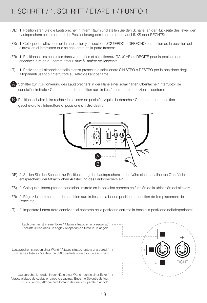## 1. SCHRITT / 1. SCHRITT / ÉTAPE 1 / PUNTO 1

- 1. Positionieren Sie die Lautsprecher in Ihrem Raum und stellen Sie den Schalter an der Rückseite des jeweiligen (DE) Lautsprechers entsprechend der Positionierung des Lautsprechers auf LINKS oder RECHTS:
- 1. Coloque los altavoces en la habitación y seleccione IZQUIERDO o DERECHO en función de la posición del (ES) altavoz en el interruptor que se encuentra en la parte trasera:
- 1. Positionnez les enceintes dans votre pièce et sélectionnez GAUCHE ou DROITE pour la position des (FR) enceintes à l'aide du commutateur situé à l'arrière de l'enceinte :
- 1. Posiziona gli altoparlanti nella stanza prescelta e selezionare SINISTRO o DESTRO per la posizione degli (IT) altoparlanti usando l'interruttore sul retro dell'altoparlante:
- Schalter zur Positionierung des Lautsprechers in der Nähe einer schallharten Oberfläche / Interruptor de condición limítrofe / Commutateur de condition aux limites / Interruttore condizioni al contorno A

Positionsschalter links-rechts / Interruptor de posición izquierda-derecha / Commutateur de position qauche-droite / Interruttore di posizione sinistro-destro B



- (DE) 2. Stellen Sie den Schalter zur Positionierung des Lautsprechers in der Nähe einer schallharten Oberfläche entsprechend der tatsächlichen Aufstellung des Lautsprechers ein:
- (ES) 2. Coloque el interruptor de condición limítrofe en la posición correcta en función de la ubicación del altavoz:
- (FR) 2. Réglez le commutateur de condition aux limites sur la bonne position en fonction de l'emplacement de l'enceinte :
- $(IT)$ 2. Impostare l'interruttore condizioni al contorno nella posizione corretta in base alla posizione dell'altoparlante:

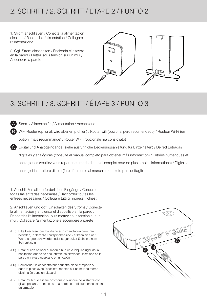## 2. SCHRITT / 2. SCHRITT / ÉTAPE 2 / PUNTO 2

1. Strom anschließen / Conecte la alimentación eléctrica / Raccordez l'alimentation / Collegare l'alimentazione

2. Ggf. Strom einschalten / Encienda el altavoz en la pared / Mettez sous tension sur un mur / Accendere a parete



## 3. SCHRITT / 3. SCHRITT / ÉTAPE 3 / PUNTO 3

Strom / Alimentación / Alimentation / Accensione

A B

WiFi-Router (optional, wird aber empfohlen) / Router wifi (opcional pero recomendado) / Routeur Wi-Fi (en option, mais recommandé) / Router Wi-Fi (opzionale ma consigliato)

Digital und Analogeingänge (siehe ausführliche Bedienungsanleitung für Einzelheiten) / De red Entradas digitales y analógicas (consulte el manual completo para obtener más información) / Entrées numériques et analogiques (veuillez vous reporter au mode d'emploi complet pour de plus amples informations) / Digitali e analogici interruttore di rete (fare riferimento al manuale completo per i dettagli)  $\mathsf{C}$ 

1. Anschließen aller erforderlichen Eingänge / Conecte todas las entradas necesarias / Raccordez toutes les entrées nécessaires / Collegare tutti gli ingressi richiesti

2. Anschließen und ggf. Einschalten des Stroms / Conecte la alimentación y encienda el dispositivo en la pared / Raccordez l'alimentation, puis mettez sous tension sur un mur / Collegare l'alimentazione e accendere a parete

- (DE) Bitte beachten: der Hub kann sich irgendwo in dem Raum befinden, in dem die Lautsprecher sind - er kann an einer Wand angebracht werden oder sogar außer Sicht in einem Schrank sein.
- Nota: puede colocar el módulo hub en cualquier lugar de la (ES) habitación donde se encuentren los altavoces, instalarlo en la pared o incluso guardarlo en un cajón.
- (FR) Remarque : le concentrateur peut être placé n'importe où dans la pièce avec l'enceinte, montée sur un mur ou même dissimulée dans un placard.
- Nota: l'hub può essere posizionato ovunque nella stanza con (IT)gli altoparlanti, montato su una parete o addirittura nascosto in un armadio.

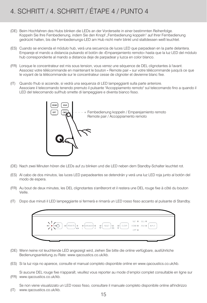## 4. SCHRITT / 4. SCHRITT / ÉTAPE 4 / PUNTO 4

- Beim Hochfahren des Hubs blinken die LEDs an der Vorderseite in einer bestimmten Reihenfolge. (DE) Koppeln Sie Ihre Fernbedienung, indem Sie den Knopf "Fernbedienung koppeln" auf Ihrer Fernbedienung gedrückt halten, bis die Fernbedienungs-LED am Hub nicht mehr blinkt und stattdessen weiß leuchtet.
- (ES) Cuando se encienda el módulo hub, verá una secuencia de luces LED que parpadean en la parte delantera. Empareje el mando a distancia pulsando el botón de «Emparejamiento remoto» hasta que la luz LED del módulo hub correspondiente al mando a distancia deje de parpadear y luzca en color blanco.
- Lorsque le concentrateur est mis sous tension, vous verrez une séquence de DEL clignotantes à l'avant. (FR) Associez votre télécommande en maintenant le bouton « Remote pair » sur votre télécommande jusqu'à ce que le voyant de la télécommande sur le concentrateur cesse de clignoter et devienne blanc fixe.
- Quando l'hub si accende, si vedrà una sequenza di LED lampeggianti sulla parte anteriore. (IT) Associare il telecomando tenendo premuto il pulsante "Accoppiamento remoto" sul telecomando fino a quando il LED del telecomando sull'hub smette di lampeggiare e diventa bianco fisso.



- Nach zwei Minuten hören die LEDs auf zu blinken und die LED neben dem Standby-Schalter leuchtet rot. (DE)
- Al cabo de dos minutos, las luces LED parpadeantes se detendrán y verá una luz LED roja junto al botón del (ES) modo de espera.
- Au bout de deux minutes, les DEL clignotantes s'arrêteront et il restera une DEL rouge fixe à côté du bouton (FR) Veille.
- Dopo due minuti il LED lampeggiante si fermerà e rimarrà un LED rosso fisso accanto al pulsante di Standby. (IT)

|  |                                                                                                                                                                                                      |  |       | NET OF BLU OF |      |
|--|------------------------------------------------------------------------------------------------------------------------------------------------------------------------------------------------------|--|-------|---------------|------|
|  | $\begin{array}{cccccccccccccc} \mathbf{O} & \text{REMOTE} & \mathbf{O} & \mathbf{O} & \text{SPEAKEP} & \mathbf{O} & \mathbf{O} & \text{BSET} & \mathbf{O} & \mathbf{O} & \text{CEAR} \\ \end{array}$ |  |       | HDM O ANA O   | NPUT |
|  |                                                                                                                                                                                                      |  | OPT O |               |      |

- Wenn keine rot leuchtende LED angezeigt wird, ziehen Sie bitte die online verfügbare, ausführliche (DE) Bedienungsanleitung zu Rate: www.qacoustics.co.uk/kb.
- Si la luz roja no aparece, consulte el manual completo disponible online en www.qacoustics.co.uk/kb. (ES)
- Si aucune DEL rouge fixe n'apparaît, veuillez vous reporter au mode d'emploi complet consultable en ligne sur www.qacoustics.co.uk/kb. (FR)

Se non viene visualizzato un LED rosso fisso, consultare il manuale completo disponibile online all'indirizzo www.qacoustics.co.uk/kb. (IT)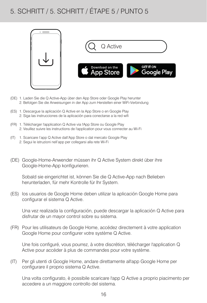## 5. SCHRITT / 5. SCHRITT / ÉTAPE 5 / PUNTO 5





- 1. Laden Sie die Q Active-App über den App Store oder Google Play herunter (DE) 2. Befolgen Sie die Anweisungen in der App zum Herstellen einer WiFi-Verbindung
- 1. Descargue la aplicación Q Active en la App Store o en Google Play (ES) 2. Siga las instrucciones de la aplicación para conectarse a la red wifi
- 1. Télécharger l'application Q Active via l'App Store ou Google Play (FR) 2. Veuillez suivre les instructions de l'application pour vous connecter au Wi-Fi
- 1. Scaricare l'app Q Active dall'App Store o dal mercato Google Play (IT) 2. Segui le istruzioni nell'app per collegarsi alla rete Wi-Fi
- Google-Home-Anwender müssen ihr Q Active System direkt über ihre (DE) Google-Home-App konfigurieren.

Sobald sie eingerichtet ist, können Sie die Q Active-App nach Belieben herunterladen, für mehr Kontrolle für Ihr System.

(ES) los usuarios de Google Home deben utilizar la aplicación Google Home para configurar el sistema Q Active.

Una vez realizada la configuración, puede descargar la aplicación Q Active para disfrutar de un mayor control sobre su sistema.

Pour les utilisateurs de Google Home, accédez directement à votre application (FR) Google Home pour configurer votre système Q Active.

Une fois configuré, vous pourrez, à votre discrétion, télécharger l'application Q Active pour accéder à plus de commandes pour votre système.

Per gli utenti di Google Home, andare direttamente all'app Google Home per configurare il proprio sistema Q Active.  $(IT)$ 

Una volta configurato, è possibile scaricare l'app Q Active a proprio piacimento per accedere a un maggiore controllo del sistema.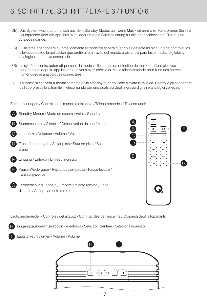## 6. SCHRITT / 6. SCHRITT / ÉTAPE 6 / PUNTO 6

- Das System wacht automatisch aus dem Standby-Modus auf, wenn Musik erkannt wird. Kontrollieren Sie Ihre (DE) Lautsprecher über die App Ihrer Wahl oder über die Fernbedienung für alle angeschlossenen Digital- und Analogeingänge.
- El sistema abandonará automáticamente el modo de espera cuando se detecte música. Puede controlar los (ES) altavoces desde la aplicación que prefiera, o a través del mando a distancia para las entradas digitales y analógicas que haya conectado.
- Le système sortira automatiquement du mode veille en cas de détection de musique. Contrôlez vos (FR) haut-parleurs depuis l'application que vous avez choisie ou via la télécommande pour l'une des entrées numériques et analogiques connectées.
- Il sistema si riattiverà automaticamente dallo standby quando viene rilevata la musica. Controlla gli altoparlanti (IT)dall'app prescelta o tramite il telecomando per uno qualsiasi degli ingressi digitali e analogici collegati.

Fernbedienungen / Controles del mando a distancia / Télécommandes / Telecomandi:



Standby-Modus / Modo de espera / Veille / Standby

- Stummschalten / Silencio / Désactivation du son / Muto B
- Lautstärke / Volumen / Volume / Volume C
- Track überspringen / Saltar pista / Saut de piste / Salta brano D



- Eingang / Entrada / Entrée / Ingresso
- Pause-Wiedergabe / Reproducción-pausa / Pause-lecture / Pausa-Riproduci



Fernbedienung koppeln / Emparejamiento remoto / Paire distante / Accoppiamento remoto



Lautsprecherregler / Controles del altavoz / Commandes de l'enceinte / Comandi degli altoparlanti:

Eingangsauswahl / Selección de entrada / Sélection d'entrée / Seleziona ingresso



Lautstärke / Volumen / Volume / Volume

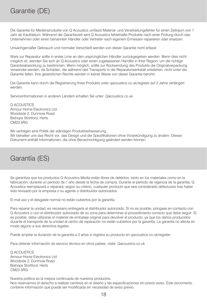Die Garantie für Medienprodukte von Q Acoustics umfasst Material- und Verarbeitungsfehler für einen Zeitraum von 1 Jahr ab Kaufdatum. Während der Garantiezeit wird Q Acoustics fehlerhafte Produkte nach einer Prüfung durch das Unternehmen oder einen benannten Händler oder Vertreter nach eigenem Ermessen reparieren oder ersetzen.

Unsachgemäßer Gebrauch und normaler Verschleiß werden von dieser Garantie nicht erfasst.

Ware zur Reparatur sollte in erster Linie an den ursprünglichen Händler zurückgegeben werden. Wenn dies nicht möglich ist, wenden Sie sich an Q Acoustics oder einen zugelassenen Händler in Ihrer Region, um die richtige Garantieabwicklung zu bestimmen. Wenn möglich, sollte zur Rücksendung des Produkts die Originalverpackung verwendet werden, da Schäden, die während des Transports in die Reparaturwerkstatt entstehen, nicht unter die Garantie fallen. Ihre gesetzlichen Rechte werden in keiner Weise von dieser Garantie berührt.

Die Garantie kann durch die Registrierung Ihres Produkts unter qacoustics.co.uk/register auf 2 Jahre verlängert werden.

Serviceinformationen in anderen Ländern erhalten Sie unter: Qacoustics.co.uk

Q ACOUSTICS Armour Home Electronics Ltd. Woodside 2, Dunmow Road Bishops Stortford, Herts CM23 5RG

Wir verfolgen eine Politik der ständigen Produktverbesserung.

Wir behalten uns das Recht vor, das Design und die Spezifikationen ohne Vorankündigung zu ändern. Dieses Dokument enthält Informationen, die ohne Benachrichtigung geändert werden können.

### Garantía (ES)

Se garantiza que los productos Q Acoustics Media están libres de defectos, tanto en los materiales como en la fabricación, durante un período de 1 año desde la fecha de compra. Durante el período de vigencia de la garantía, Q Acoustics reemplazará o reparará, según su criterio, cualquier producto que sea considerado defectuoso tras haber sido revisado por la empresa o su agente o distribuidor autorizados.

El mal uso y el desgaste normal no están cubiertos por la garantía.

Para reparar la unidad, es necesario entregarla al distribuidor autorizado. Si no es posible, póngase en contacto con Q Acoustics o con el distribuidor autorizado de su zona para determinar el procedimiento correcto que debe seguir. Si es posible, debe utilizarse el material de embalaje original para devolver el producto, ya que los daños producidos durante el transporte de la unidad al centro de reparación no están cubiertos por la garantía. La garantía no afecta en modo alguno a sus derechos legales.

Puede ampliar la duración de la garantía a 2 años si registra su producto en qacoustics.co.uk/register.

Para obtener información de servicio técnico en otros países, visite: Qacoustics.co.uk

Q ACOUSTICS Armour Home Electronics Ltd. Woodside 2, Dunmow Road Bishops Stortford, Herts CM23 5RG

Nuestra política es la mejora continuada de nuestros productos.

Nos reservamos el derecho a realizar cambios en el diseño y las especificaciones sin previo aviso. Este documento contiene información que puede ser modificada sin necesidad de aviso previo.